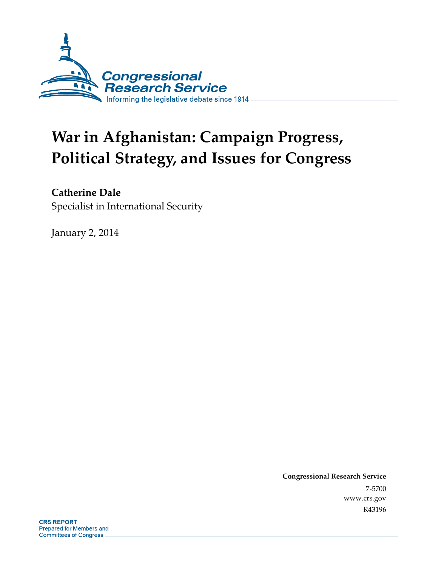

# **War in Afghanistan: Campaign Progress, Political Strategy, and Issues for Congress**

### **Catherine Dale**

Specialist in International Security

January 2, 2014

**Congressional Research Service**  7-5700 www.crs.gov R43196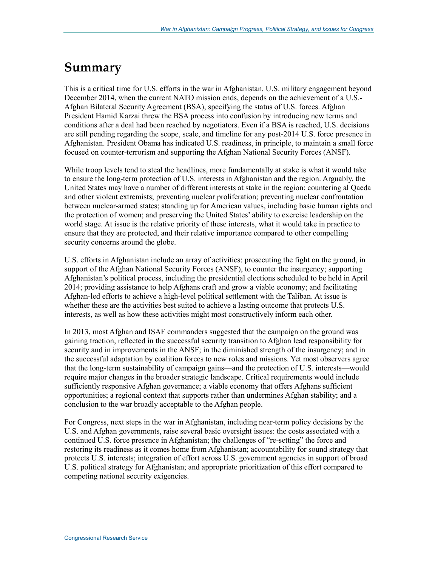### **Summary**

This is a critical time for U.S. efforts in the war in Afghanistan. U.S. military engagement beyond December 2014, when the current NATO mission ends, depends on the achievement of a U.S.- Afghan Bilateral Security Agreement (BSA), specifying the status of U.S. forces. Afghan President Hamid Karzai threw the BSA process into confusion by introducing new terms and conditions after a deal had been reached by negotiators. Even if a BSA is reached, U.S. decisions are still pending regarding the scope, scale, and timeline for any post-2014 U.S. force presence in Afghanistan. President Obama has indicated U.S. readiness, in principle, to maintain a small force focused on counter-terrorism and supporting the Afghan National Security Forces (ANSF).

While troop levels tend to steal the headlines, more fundamentally at stake is what it would take to ensure the long-term protection of U.S. interests in Afghanistan and the region. Arguably, the United States may have a number of different interests at stake in the region: countering al Qaeda and other violent extremists; preventing nuclear proliferation; preventing nuclear confrontation between nuclear-armed states; standing up for American values, including basic human rights and the protection of women; and preserving the United States' ability to exercise leadership on the world stage. At issue is the relative priority of these interests, what it would take in practice to ensure that they are protected, and their relative importance compared to other compelling security concerns around the globe.

U.S. efforts in Afghanistan include an array of activities: prosecuting the fight on the ground, in support of the Afghan National Security Forces (ANSF), to counter the insurgency; supporting Afghanistan's political process, including the presidential elections scheduled to be held in April 2014; providing assistance to help Afghans craft and grow a viable economy; and facilitating Afghan-led efforts to achieve a high-level political settlement with the Taliban. At issue is whether these are the activities best suited to achieve a lasting outcome that protects U.S. interests, as well as how these activities might most constructively inform each other.

In 2013, most Afghan and ISAF commanders suggested that the campaign on the ground was gaining traction, reflected in the successful security transition to Afghan lead responsibility for security and in improvements in the ANSF; in the diminished strength of the insurgency; and in the successful adaptation by coalition forces to new roles and missions. Yet most observers agree that the long-term sustainability of campaign gains—and the protection of U.S. interests—would require major changes in the broader strategic landscape. Critical requirements would include sufficiently responsive Afghan governance; a viable economy that offers Afghans sufficient opportunities; a regional context that supports rather than undermines Afghan stability; and a conclusion to the war broadly acceptable to the Afghan people.

For Congress, next steps in the war in Afghanistan, including near-term policy decisions by the U.S. and Afghan governments, raise several basic oversight issues: the costs associated with a continued U.S. force presence in Afghanistan; the challenges of "re-setting" the force and restoring its readiness as it comes home from Afghanistan; accountability for sound strategy that protects U.S. interests; integration of effort across U.S. government agencies in support of broad U.S. political strategy for Afghanistan; and appropriate prioritization of this effort compared to competing national security exigencies.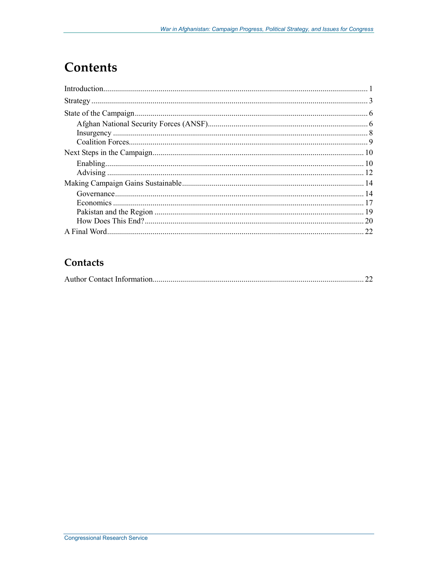## **Contents**

| 20 |
|----|
| 22 |

### Contacts

|--|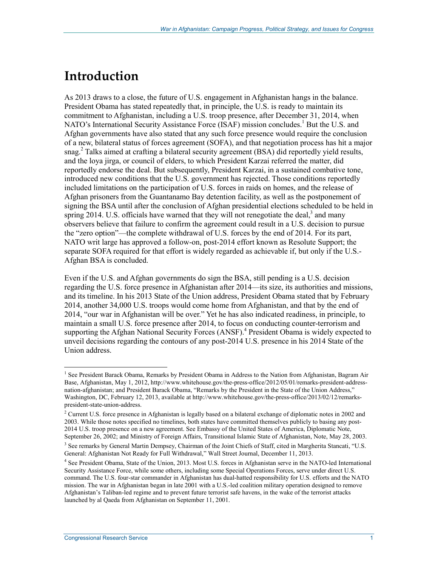### **Introduction**

As 2013 draws to a close, the future of U.S. engagement in Afghanistan hangs in the balance. President Obama has stated repeatedly that, in principle, the U.S. is ready to maintain its commitment to Afghanistan, including a U.S. troop presence, after December 31, 2014, when NATO's International Security Assistance Force (ISAF) mission concludes.<sup>1</sup> But the U.S. and Afghan governments have also stated that any such force presence would require the conclusion of a new, bilateral status of forces agreement (SOFA), and that negotiation process has hit a major snag.<sup>2</sup> Talks aimed at crafting a bilateral security agreement (BSA) did reportedly yield results, and the loya jirga, or council of elders, to which President Karzai referred the matter, did reportedly endorse the deal. But subsequently, President Karzai, in a sustained combative tone, introduced new conditions that the U.S. government has rejected. Those conditions reportedly included limitations on the participation of U.S. forces in raids on homes, and the release of Afghan prisoners from the Guantanamo Bay detention facility, as well as the postponement of signing the BSA until after the conclusion of Afghan presidential elections scheduled to be held in spring  $2014$ . U.S. officials have warned that they will not renegotiate the deal,<sup>3</sup> and many observers believe that failure to confirm the agreement could result in a U.S. decision to pursue the "zero option"—the complete withdrawal of U.S. forces by the end of 2014. For its part, NATO writ large has approved a follow-on, post-2014 effort known as Resolute Support; the separate SOFA required for that effort is widely regarded as achievable if, but only if the U.S.- Afghan BSA is concluded.

Even if the U.S. and Afghan governments do sign the BSA, still pending is a U.S. decision regarding the U.S. force presence in Afghanistan after 2014—its size, its authorities and missions, and its timeline. In his 2013 State of the Union address, President Obama stated that by February 2014, another 34,000 U.S. troops would come home from Afghanistan, and that by the end of 2014, "our war in Afghanistan will be over." Yet he has also indicated readiness, in principle, to maintain a small U.S. force presence after 2014, to focus on conducting counter-terrorism and supporting the Afghan National Security Forces (ANSF).<sup>4</sup> President Obama is widely expected to unveil decisions regarding the contours of any post-2014 U.S. presence in his 2014 State of the Union address.

<sup>1&</sup>lt;br><sup>1</sup> See President Barack Obama, Remarks by President Obama in Address to the Nation from Afghanistan, Bagram Air Base, Afghanistan, May 1, 2012, http://www.whitehouse.gov/the-press-office/2012/05/01/remarks-president-addressnation-afghanistan; and President Barack Obama, "Remarks by the President in the State of the Union Address," Washington, DC, February 12, 2013, available at http://www.whitehouse.gov/the-press-office/2013/02/12/remarkspresident-state-union-address.

<sup>&</sup>lt;sup>2</sup> Current U.S. force presence in Afghanistan is legally based on a bilateral exchange of diplomatic notes in 2002 and 2003. While those notes specified no timelines, both states have committed themselves publicly to basing any post-2014 U.S. troop presence on a new agreement. See Embassy of the United States of America, Diplomatic Note, September 26, 2002; and Ministry of Foreign Affairs, Transitional Islamic State of Afghanistan, Note, May 28, 2003.

<sup>&</sup>lt;sup>3</sup> See remarks by General Martin Dempsey, Chairman of the Joint Chiefs of Staff, cited in Margherita Stancati, "U.S. General: Afghanistan Not Ready for Full Withdrawal," Wall Street Journal, December 11, 2013.

<sup>4</sup> See President Obama, State of the Union, 2013. Most U.S. forces in Afghanistan serve in the NATO-led International Security Assistance Force, while some others, including some Special Operations Forces, serve under direct U.S. command. The U.S. four-star commander in Afghanistan has dual-hatted responsibility for U.S. efforts and the NATO mission. The war in Afghanistan began in late 2001 with a U.S.-led coalition military operation designed to remove Afghanistan's Taliban-led regime and to prevent future terrorist safe havens, in the wake of the terrorist attacks launched by al Qaeda from Afghanistan on September 11, 2001.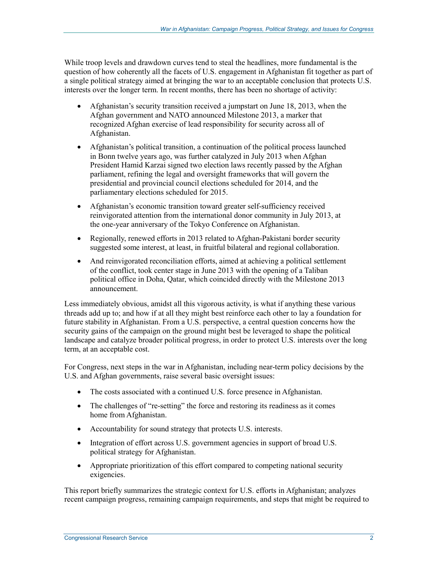While troop levels and drawdown curves tend to steal the headlines, more fundamental is the question of how coherently all the facets of U.S. engagement in Afghanistan fit together as part of a single political strategy aimed at bringing the war to an acceptable conclusion that protects U.S. interests over the longer term. In recent months, there has been no shortage of activity:

- Afghanistan's security transition received a jumpstart on June 18, 2013, when the Afghan government and NATO announced Milestone 2013, a marker that recognized Afghan exercise of lead responsibility for security across all of Afghanistan.
- Afghanistan's political transition, a continuation of the political process launched in Bonn twelve years ago, was further catalyzed in July 2013 when Afghan President Hamid Karzai signed two election laws recently passed by the Afghan parliament, refining the legal and oversight frameworks that will govern the presidential and provincial council elections scheduled for 2014, and the parliamentary elections scheduled for 2015.
- Afghanistan's economic transition toward greater self-sufficiency received reinvigorated attention from the international donor community in July 2013, at the one-year anniversary of the Tokyo Conference on Afghanistan.
- Regionally, renewed efforts in 2013 related to Afghan-Pakistani border security suggested some interest, at least, in fruitful bilateral and regional collaboration.
- And reinvigorated reconciliation efforts, aimed at achieving a political settlement of the conflict, took center stage in June 2013 with the opening of a Taliban political office in Doha, Qatar, which coincided directly with the Milestone 2013 announcement.

Less immediately obvious, amidst all this vigorous activity, is what if anything these various threads add up to; and how if at all they might best reinforce each other to lay a foundation for future stability in Afghanistan. From a U.S. perspective, a central question concerns how the security gains of the campaign on the ground might best be leveraged to shape the political landscape and catalyze broader political progress, in order to protect U.S. interests over the long term, at an acceptable cost.

For Congress, next steps in the war in Afghanistan, including near-term policy decisions by the U.S. and Afghan governments, raise several basic oversight issues:

- The costs associated with a continued U.S. force presence in Afghanistan.
- The challenges of "re-setting" the force and restoring its readiness as it comes home from Afghanistan.
- Accountability for sound strategy that protects U.S. interests.
- Integration of effort across U.S. government agencies in support of broad U.S. political strategy for Afghanistan.
- Appropriate prioritization of this effort compared to competing national security exigencies.

This report briefly summarizes the strategic context for U.S. efforts in Afghanistan; analyzes recent campaign progress, remaining campaign requirements, and steps that might be required to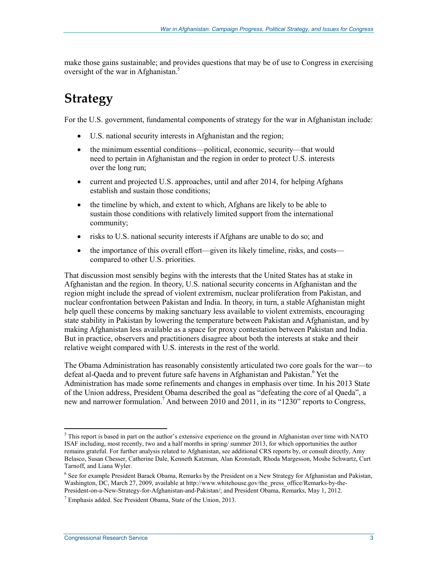make those gains sustainable; and provides questions that may be of use to Congress in exercising oversight of the war in Afghanistan.<sup>5</sup>

### **Strategy**

For the U.S. government, fundamental components of strategy for the war in Afghanistan include:

- U.S. national security interests in Afghanistan and the region;
- the minimum essential conditions—political, economic, security—that would need to pertain in Afghanistan and the region in order to protect U.S. interests over the long run;
- current and projected U.S. approaches, until and after 2014, for helping Afghans establish and sustain those conditions;
- the timeline by which, and extent to which, Afghans are likely to be able to sustain those conditions with relatively limited support from the international community;
- risks to U.S. national security interests if Afghans are unable to do so; and
- the importance of this overall effort—given its likely timeline, risks, and costs compared to other U.S. priorities.

That discussion most sensibly begins with the interests that the United States has at stake in Afghanistan and the region. In theory, U.S. national security concerns in Afghanistan and the region might include the spread of violent extremism, nuclear proliferation from Pakistan, and nuclear confrontation between Pakistan and India. In theory, in turn, a stable Afghanistan might help quell these concerns by making sanctuary less available to violent extremists, encouraging state stability in Pakistan by lowering the temperature between Pakistan and Afghanistan, and by making Afghanistan less available as a space for proxy contestation between Pakistan and India. But in practice, observers and practitioners disagree about both the interests at stake and their relative weight compared with U.S. interests in the rest of the world.

The Obama Administration has reasonably consistently articulated two core goals for the war—to defeat al-Qaeda and to prevent future safe havens in Afghanistan and Pakistan.<sup>6</sup> Yet the Administration has made some refinements and changes in emphasis over time. In his 2013 State of the Union address, President Obama described the goal as "defeating the core of al Qaeda", a new and narrower formulation.<sup>7</sup> And between 2010 and 2011, in its "1230" reports to Congress,

 $<sup>5</sup>$  This report is based in part on the author's extensive experience on the ground in Afghanistan over time with NATO</sup> ISAF including, most recently, two and a half months in spring/ summer 2013, for which opportunities the author remains grateful. For further analysis related to Afghanistan, see additional CRS reports by, or consult directly, Amy Belasco, Susan Chesser, Catherine Dale, Kenneth Katzman, Alan Kronstadt, Rhoda Margesson, Moshe Schwartz, Curt Tarnoff, and Liana Wyler.

<sup>&</sup>lt;sup>6</sup> See for example President Barack Obama, Remarks by the President on a New Strategy for Afghanistan and Pakistan, Washington, DC, March 27, 2009, available at http://www.whitehouse.gov/the\_press\_office/Remarks-by-the-President-on-a-New-Strategy-for-Afghanistan-and-Pakistan/; and President Obama, Remarks, May 1, 2012.

<sup>7</sup> Emphasis added. See President Obama, State of the Union, 2013.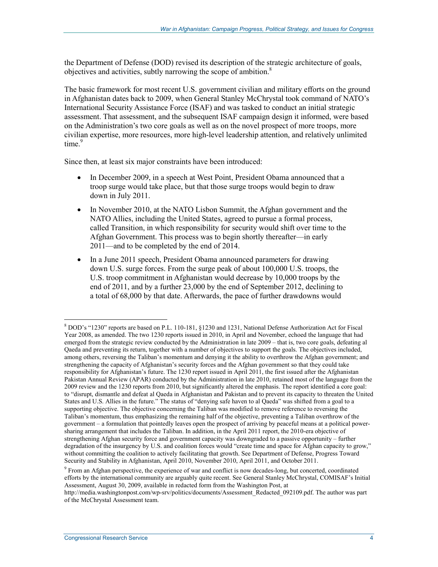the Department of Defense (DOD) revised its description of the strategic architecture of goals, objectives and activities, subtly narrowing the scope of ambition.<sup>8</sup>

The basic framework for most recent U.S. government civilian and military efforts on the ground in Afghanistan dates back to 2009, when General Stanley McChrystal took command of NATO's International Security Assistance Force (ISAF) and was tasked to conduct an initial strategic assessment. That assessment, and the subsequent ISAF campaign design it informed, were based on the Administration's two core goals as well as on the novel prospect of more troops, more civilian expertise, more resources, more high-level leadership attention, and relatively unlimited time.<sup>9</sup>

Since then, at least six major constraints have been introduced:

- In December 2009, in a speech at West Point, President Obama announced that a troop surge would take place, but that those surge troops would begin to draw down in July 2011.
- In November 2010, at the NATO Lisbon Summit, the Afghan government and the NATO Allies, including the United States, agreed to pursue a formal process, called Transition, in which responsibility for security would shift over time to the Afghan Government. This process was to begin shortly thereafter—in early 2011—and to be completed by the end of 2014.
- In a June 2011 speech, President Obama announced parameters for drawing down U.S. surge forces. From the surge peak of about 100,000 U.S. troops, the U.S. troop commitment in Afghanistan would decrease by 10,000 troops by the end of 2011, and by a further 23,000 by the end of September 2012, declining to a total of 68,000 by that date. Afterwards, the pace of further drawdowns would

<sup>8</sup> DOD's "1230" reports are based on P.L. 110-181, §1230 and 1231, National Defense Authorization Act for Fiscal Year 2008, as amended. The two 1230 reports issued in 2010, in April and November, echoed the language that had emerged from the strategic review conducted by the Administration in late 2009 – that is, two core goals, defeating al Qaeda and preventing its return, together with a number of objectives to support the goals. The objectives included, among others, reversing the Taliban's momentum and denying it the ability to overthrow the Afghan government; and strengthening the capacity of Afghanistan's security forces and the Afghan government so that they could take responsibility for Afghanistan's future. The 1230 report issued in April 2011, the first issued after the Afghanistan Pakistan Annual Review (APAR) conducted by the Administration in late 2010, retained most of the language from the 2009 review and the 1230 reports from 2010, but significantly altered the emphasis. The report identified a core goal: to "disrupt, dismantle and defeat al Qaeda in Afghanistan and Pakistan and to prevent its capacity to threaten the United States and U.S. Allies in the future." The status of "denying safe haven to al Qaeda" was shifted from a goal to a supporting objective. The objective concerning the Taliban was modified to remove reference to reversing the Taliban's momentum, thus emphasizing the remaining half of the objective, preventing a Taliban overthrow of the government – a formulation that pointedly leaves open the prospect of arriving by peaceful means at a political powersharing arrangement that includes the Taliban. In addition, in the April 2011 report, the 2010-era objective of strengthening Afghan security force and government capacity was downgraded to a passive opportunity – further degradation of the insurgency by U.S. and coalition forces would "create time and space for Afghan capacity to grow," without committing the coalition to actively facilitating that growth. See Department of Defense, Progress Toward Security and Stability in Afghanistan, April 2010, November 2010, April 2011, and October 2011.

<sup>&</sup>lt;sup>9</sup> From an Afghan perspective, the experience of war and conflict is now decades-long, but concerted, coordinated efforts by the international community are arguably quite recent. See General Stanley McChrystal, COMISAF's Initial Assessment, August 30, 2009, available in redacted form from the Washington Post, at

http://media.washingtonpost.com/wp-srv/politics/documents/Assessment\_Redacted\_092109.pdf. The author was part of the McChrystal Assessment team.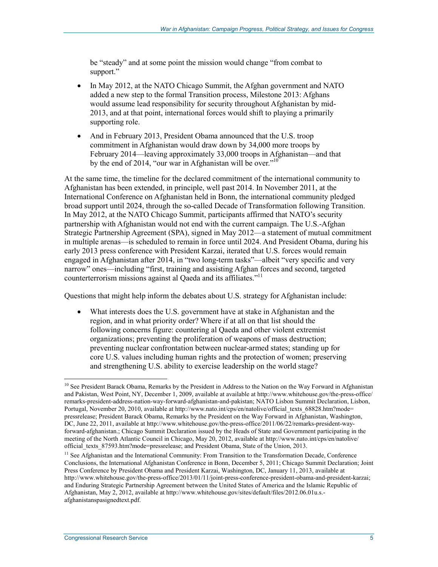be "steady" and at some point the mission would change "from combat to support."

- In May 2012, at the NATO Chicago Summit, the Afghan government and NATO added a new step to the formal Transition process, Milestone 2013: Afghans would assume lead responsibility for security throughout Afghanistan by mid-2013, and at that point, international forces would shift to playing a primarily supporting role.
- And in February 2013, President Obama announced that the U.S. troop commitment in Afghanistan would draw down by 34,000 more troops by February 2014—leaving approximately 33,000 troops in Afghanistan—and that by the end of 2014, "our war in Afghanistan will be over."<sup>10</sup>

At the same time, the timeline for the declared commitment of the international community to Afghanistan has been extended, in principle, well past 2014. In November 2011, at the International Conference on Afghanistan held in Bonn, the international community pledged broad support until 2024, through the so-called Decade of Transformation following Transition. In May 2012, at the NATO Chicago Summit, participants affirmed that NATO's security partnership with Afghanistan would not end with the current campaign. The U.S.-Afghan Strategic Partnership Agreement (SPA), signed in May 2012—a statement of mutual commitment in multiple arenas—is scheduled to remain in force until 2024. And President Obama, during his early 2013 press conference with President Karzai, iterated that U.S. forces would remain engaged in Afghanistan after 2014, in "two long-term tasks"—albeit "very specific and very narrow" ones—including "first, training and assisting Afghan forces and second, targeted counterterrorism missions against al Qaeda and its affiliates."11

Questions that might help inform the debates about U.S. strategy for Afghanistan include:

• What interests does the U.S. government have at stake in Afghanistan and the region, and in what priority order? Where if at all on that list should the following concerns figure: countering al Qaeda and other violent extremist organizations; preventing the proliferation of weapons of mass destruction; preventing nuclear confrontation between nuclear-armed states; standing up for core U.S. values including human rights and the protection of women; preserving and strengthening U.S. ability to exercise leadership on the world stage?

<u>.</u>

<sup>&</sup>lt;sup>10</sup> See President Barack Obama, Remarks by the President in Address to the Nation on the Way Forward in Afghanistan and Pakistan, West Point, NY, December 1, 2009, available at available at http://www.whitehouse.gov/the-press-office/ remarks-president-address-nation-way-forward-afghanistan-and-pakistan; NATO Lisbon Summit Declaration, Lisbon, Portugal, November 20, 2010, available at http://www.nato.int/cps/en/natolive/official\_texts\_68828.htm?mode= pressrelease; President Barack Obama, Remarks by the President on the Way Forward in Afghanistan, Washington, DC, June 22, 2011, available at http://www.whitehouse.gov/the-press-office/2011/06/22/remarks-president-wayforward-afghanistan.; Chicago Summit Declaration issued by the Heads of State and Government participating in the meeting of the North Atlantic Council in Chicago, May 20, 2012, available at http://www.nato.int/cps/en/natolive/ official\_texts\_87593.htm?mode=pressrelease; and President Obama, State of the Union, 2013.

<sup>&</sup>lt;sup>11</sup> See Afghanistan and the International Community: From Transition to the Transformation Decade, Conference Conclusions, the International Afghanistan Conference in Bonn, December 5, 2011; Chicago Summit Declaration; Joint Press Conference by President Obama and President Karzai, Washington, DC, January 11, 2013, available at http://www.whitehouse.gov/the-press-office/2013/01/11/joint-press-conference-president-obama-and-president-karzai; and Enduring Strategic Partnership Agreement between the United States of America and the Islamic Republic of Afghanistan, May 2, 2012, available at http://www.whitehouse.gov/sites/default/files/2012.06.01u.s. afghanistanspasignedtext.pdf.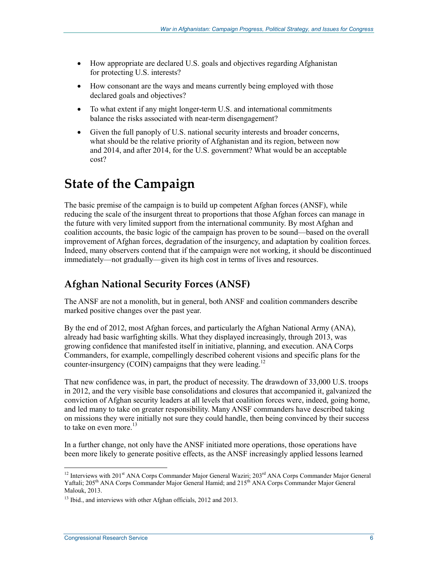- How appropriate are declared U.S. goals and objectives regarding Afghanistan for protecting U.S. interests?
- How consonant are the ways and means currently being employed with those declared goals and objectives?
- To what extent if any might longer-term U.S. and international commitments balance the risks associated with near-term disengagement?
- Given the full panoply of U.S. national security interests and broader concerns, what should be the relative priority of Afghanistan and its region, between now and 2014, and after 2014, for the U.S. government? What would be an acceptable cost?

### **State of the Campaign**

The basic premise of the campaign is to build up competent Afghan forces (ANSF), while reducing the scale of the insurgent threat to proportions that those Afghan forces can manage in the future with very limited support from the international community. By most Afghan and coalition accounts, the basic logic of the campaign has proven to be sound—based on the overall improvement of Afghan forces, degradation of the insurgency, and adaptation by coalition forces. Indeed, many observers contend that if the campaign were not working, it should be discontinued immediately—not gradually—given its high cost in terms of lives and resources.

### **Afghan National Security Forces (ANSF)**

The ANSF are not a monolith, but in general, both ANSF and coalition commanders describe marked positive changes over the past year.

By the end of 2012, most Afghan forces, and particularly the Afghan National Army (ANA), already had basic warfighting skills. What they displayed increasingly, through 2013, was growing confidence that manifested itself in initiative, planning, and execution. ANA Corps Commanders, for example, compellingly described coherent visions and specific plans for the counter-insurgency (COIN) campaigns that they were leading.<sup>12</sup>

That new confidence was, in part, the product of necessity. The drawdown of 33,000 U.S. troops in 2012, and the very visible base consolidations and closures that accompanied it, galvanized the conviction of Afghan security leaders at all levels that coalition forces were, indeed, going home, and led many to take on greater responsibility. Many ANSF commanders have described taking on missions they were initially not sure they could handle, then being convinced by their success to take on even more. $^{13}$ 

In a further change, not only have the ANSF initiated more operations, those operations have been more likely to generate positive effects, as the ANSF increasingly applied lessons learned

<sup>&</sup>lt;sup>12</sup> Interviews with 201<sup>st</sup> ANA Corps Commander Major General Waziri; 203<sup>rd</sup> ANA Corps Commander Major General Yaftali; 205<sup>th</sup> ANA Corps Commander Major General Hamid; and 215<sup>th</sup> ANA Corps Commander Major General Malouk, 2013.

<sup>&</sup>lt;sup>13</sup> Ibid., and interviews with other Afghan officials, 2012 and 2013.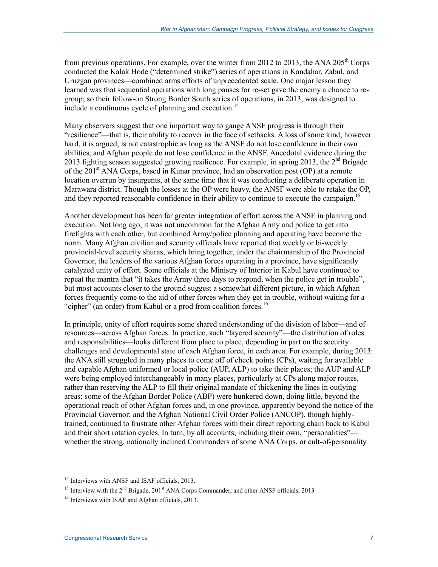from previous operations. For example, over the winter from 2012 to 2013, the ANA  $205<sup>th</sup>$  Corps conducted the Kalak Hode ("determined strike") series of operations in Kandahar, Zabul, and Uruzgan provinces—combined arms efforts of unprecedented scale. One major lesson they learned was that sequential operations with long pauses for re-set gave the enemy a chance to regroup; so their follow-on Strong Border South series of operations, in 2013, was designed to include a continuous cycle of planning and execution.<sup>14</sup>

Many observers suggest that one important way to gauge ANSF progress is through their "resilience"—that is, their ability to recover in the face of setbacks. A loss of some kind, however hard, it is argued, is not catastrophic as long as the ANSF do not lose confidence in their own abilities, and Afghan people do not lose confidence in the ANSF. Anecdotal evidence during the 2013 fighting season suggested growing resilience. For example, in spring 2013, the  $2<sup>nd</sup>$  Brigade of the 201<sup>st</sup> ANA Corps, based in Kunar province, had an observation post (OP) at a remote location overrun by insurgents, at the same time that it was conducting a deliberate operation in Marawara district. Though the losses at the OP were heavy, the ANSF were able to retake the OP, and they reported reasonable confidence in their ability to continue to execute the campaign.<sup>15</sup>

Another development has been far greater integration of effort across the ANSF in planning and execution. Not long ago, it was not uncommon for the Afghan Army and police to get into firefights with each other, but combined Army/police planning and operating have become the norm. Many Afghan civilian and security officials have reported that weekly or bi-weekly provincial-level security shuras, which bring together, under the chairmanship of the Provincial Governor, the leaders of the various Afghan forces operating in a province, have significantly catalyzed unity of effort. Some officials at the Ministry of Interior in Kabul have continued to repeat the mantra that "it takes the Army three days to respond, when the police get in trouble", but most accounts closer to the ground suggest a somewhat different picture, in which Afghan forces frequently come to the aid of other forces when they get in trouble, without waiting for a "cipher" (an order) from Kabul or a prod from coalition forces.<sup>16</sup>

In principle, unity of effort requires some shared understanding of the division of labor—and of resources—across Afghan forces. In practice, such "layered security"—the distribution of roles and responsibilities—looks different from place to place, depending in part on the security challenges and developmental state of each Afghan force, in each area. For example, during 2013: the ANA still struggled in many places to come off of check points (CPs), waiting for available and capable Afghan uniformed or local police (AUP, ALP) to take their places; the AUP and ALP were being employed interchangeably in many places, particularly at CPs along major routes, rather than reserving the ALP to fill their original mandate of thickening the lines in outlying areas; some of the Afghan Border Police (ABP) were hunkered down, doing little, beyond the operational reach of other Afghan forces and, in one province, apparently beyond the notice of the Provincial Governor; and the Afghan National Civil Order Police (ANCOP), though highlytrained, continued to frustrate other Afghan forces with their direct reporting chain back to Kabul and their short rotation cycles. In turn, by all accounts, including their own, "personalities" whether the strong, nationally inclined Commanders of some ANA Corps, or cult-of-personality

<sup>&</sup>lt;sup>14</sup> Interviews with ANSF and ISAF officials, 2013.

<sup>&</sup>lt;sup>15</sup> Interview with the  $2<sup>nd</sup>$  Brigade, 201<sup>st</sup> ANA Corps Commander, and other ANSF officials, 2013

<sup>&</sup>lt;sup>16</sup> Interviews with ISAF and Afghan officials, 2013.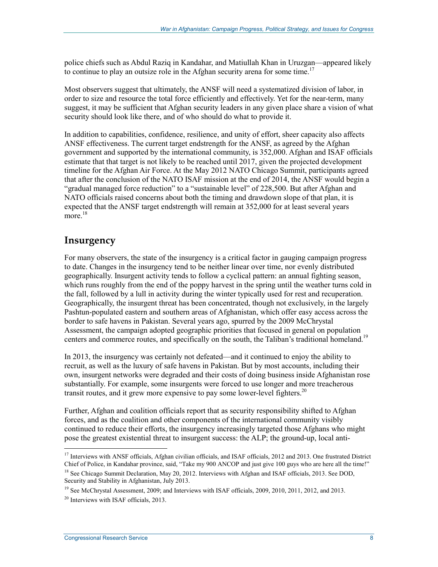police chiefs such as Abdul Raziq in Kandahar, and Matiullah Khan in Uruzgan—appeared likely to continue to play an outsize role in the Afghan security arena for some time.<sup>17</sup>

Most observers suggest that ultimately, the ANSF will need a systematized division of labor, in order to size and resource the total force efficiently and effectively. Yet for the near-term, many suggest, it may be sufficient that Afghan security leaders in any given place share a vision of what security should look like there, and of who should do what to provide it.

In addition to capabilities, confidence, resilience, and unity of effort, sheer capacity also affects ANSF effectiveness. The current target endstrength for the ANSF, as agreed by the Afghan government and supported by the international community, is 352,000. Afghan and ISAF officials estimate that that target is not likely to be reached until 2017, given the projected development timeline for the Afghan Air Force. At the May 2012 NATO Chicago Summit, participants agreed that after the conclusion of the NATO ISAF mission at the end of 2014, the ANSF would begin a "gradual managed force reduction" to a "sustainable level" of 228,500. But after Afghan and NATO officials raised concerns about both the timing and drawdown slope of that plan, it is expected that the ANSF target endstrength will remain at 352,000 for at least several years  $more.<sup>18</sup>$ 

#### **Insurgency**

For many observers, the state of the insurgency is a critical factor in gauging campaign progress to date. Changes in the insurgency tend to be neither linear over time, nor evenly distributed geographically. Insurgent activity tends to follow a cyclical pattern: an annual fighting season, which runs roughly from the end of the poppy harvest in the spring until the weather turns cold in the fall, followed by a lull in activity during the winter typically used for rest and recuperation. Geographically, the insurgent threat has been concentrated, though not exclusively, in the largely Pashtun-populated eastern and southern areas of Afghanistan, which offer easy access across the border to safe havens in Pakistan. Several years ago, spurred by the 2009 McChrystal Assessment, the campaign adopted geographic priorities that focused in general on population centers and commerce routes, and specifically on the south, the Taliban's traditional homeland.<sup>19</sup>

In 2013, the insurgency was certainly not defeated—and it continued to enjoy the ability to recruit, as well as the luxury of safe havens in Pakistan. But by most accounts, including their own, insurgent networks were degraded and their costs of doing business inside Afghanistan rose substantially. For example, some insurgents were forced to use longer and more treacherous transit routes, and it grew more expensive to pay some lower-level fighters.<sup>20</sup>

Further, Afghan and coalition officials report that as security responsibility shifted to Afghan forces, and as the coalition and other components of the international community visibly continued to reduce their efforts, the insurgency increasingly targeted those Afghans who might pose the greatest existential threat to insurgent success: the ALP; the ground-up, local anti-

<sup>&</sup>lt;sup>17</sup> Interviews with ANSF officials, Afghan civilian officials, and ISAF officials, 2012 and 2013. One frustrated District Chief of Police, in Kandahar province, said, "Take my 900 ANCOP and just give 100 guys who are here all the time!"

<sup>&</sup>lt;sup>18</sup> See Chicago Summit Declaration, May 20, 2012. Interviews with Afghan and ISAF officials, 2013. See DOD, Security and Stability in Afghanistan, July 2013.

<sup>&</sup>lt;sup>19</sup> See McChrystal Assessment, 2009; and Interviews with ISAF officials, 2009, 2010, 2011, 2012, and 2013.

<sup>20</sup> Interviews with ISAF officials, 2013.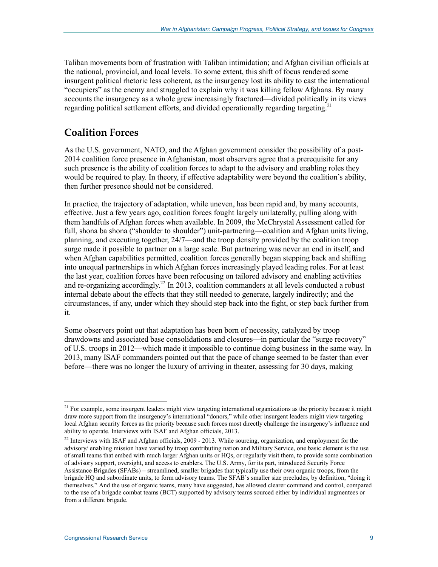Taliban movements born of frustration with Taliban intimidation; and Afghan civilian officials at the national, provincial, and local levels. To some extent, this shift of focus rendered some insurgent political rhetoric less coherent, as the insurgency lost its ability to cast the international "occupiers" as the enemy and struggled to explain why it was killing fellow Afghans. By many accounts the insurgency as a whole grew increasingly fractured—divided politically in its views regarding political settlement efforts, and divided operationally regarding targeting.<sup>21</sup>

#### **Coalition Forces**

As the U.S. government, NATO, and the Afghan government consider the possibility of a post-2014 coalition force presence in Afghanistan, most observers agree that a prerequisite for any such presence is the ability of coalition forces to adapt to the advisory and enabling roles they would be required to play. In theory, if effective adaptability were beyond the coalition's ability, then further presence should not be considered.

In practice, the trajectory of adaptation, while uneven, has been rapid and, by many accounts, effective. Just a few years ago, coalition forces fought largely unilaterally, pulling along with them handfuls of Afghan forces when available. In 2009, the McChrystal Assessment called for full, shona ba shona ("shoulder to shoulder") unit-partnering—coalition and Afghan units living, planning, and executing together, 24/7—and the troop density provided by the coalition troop surge made it possible to partner on a large scale. But partnering was never an end in itself, and when Afghan capabilities permitted, coalition forces generally began stepping back and shifting into unequal partnerships in which Afghan forces increasingly played leading roles. For at least the last year, coalition forces have been refocusing on tailored advisory and enabling activities and re-organizing accordingly.<sup>22</sup> In 2013, coalition commanders at all levels conducted a robust internal debate about the effects that they still needed to generate, largely indirectly; and the circumstances, if any, under which they should step back into the fight, or step back further from it.

Some observers point out that adaptation has been born of necessity, catalyzed by troop drawdowns and associated base consolidations and closures—in particular the "surge recovery" of U.S. troops in 2012—which made it impossible to continue doing business in the same way. In 2013, many ISAF commanders pointed out that the pace of change seemed to be faster than ever before—there was no longer the luxury of arriving in theater, assessing for 30 days, making

<u>.</u>

 $2<sup>1</sup>$  For example, some insurgent leaders might view targeting international organizations as the priority because it might draw more support from the insurgency's international "donors," while other insurgent leaders might view targeting local Afghan security forces as the priority because such forces most directly challenge the insurgency's influence and ability to operate. Interviews with ISAF and Afghan officials, 2013.

<sup>&</sup>lt;sup>22</sup> Interviews with ISAF and Afghan officials, 2009 - 2013. While sourcing, organization, and employment for the advisory/ enabling mission have varied by troop contributing nation and Military Service, one basic element is the use of small teams that embed with much larger Afghan units or HQs, or regularly visit them, to provide some combination of advisory support, oversight, and access to enablers. The U.S. Army, for its part, introduced Security Force Assistance Brigades (SFABs) – streamlined, smaller brigades that typically use their own organic troops, from the brigade HQ and subordinate units, to form advisory teams. The SFAB's smaller size precludes, by definition, "doing it themselves." And the use of organic teams, many have suggested, has allowed clearer command and control, compared to the use of a brigade combat teams (BCT) supported by advisory teams sourced either by individual augmentees or from a different brigade.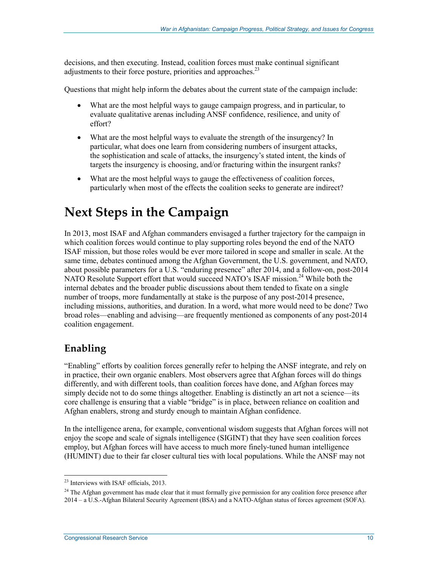decisions, and then executing. Instead, coalition forces must make continual significant adjustments to their force posture, priorities and approaches.<sup>23</sup>

Questions that might help inform the debates about the current state of the campaign include:

- What are the most helpful ways to gauge campaign progress, and in particular, to evaluate qualitative arenas including ANSF confidence, resilience, and unity of effort?
- What are the most helpful ways to evaluate the strength of the insurgency? In particular, what does one learn from considering numbers of insurgent attacks, the sophistication and scale of attacks, the insurgency's stated intent, the kinds of targets the insurgency is choosing, and/or fracturing within the insurgent ranks?
- What are the most helpful ways to gauge the effectiveness of coalition forces, particularly when most of the effects the coalition seeks to generate are indirect?

# **Next Steps in the Campaign**

In 2013, most ISAF and Afghan commanders envisaged a further trajectory for the campaign in which coalition forces would continue to play supporting roles beyond the end of the NATO ISAF mission, but those roles would be ever more tailored in scope and smaller in scale. At the same time, debates continued among the Afghan Government, the U.S. government, and NATO, about possible parameters for a U.S. "enduring presence" after 2014, and a follow-on, post-2014 NATO Resolute Support effort that would succeed NATO's ISAF mission.<sup>24</sup> While both the internal debates and the broader public discussions about them tended to fixate on a single number of troops, more fundamentally at stake is the purpose of any post-2014 presence, including missions, authorities, and duration. In a word, what more would need to be done? Two broad roles—enabling and advising—are frequently mentioned as components of any post-2014 coalition engagement.

#### **Enabling**

1

"Enabling" efforts by coalition forces generally refer to helping the ANSF integrate, and rely on in practice, their own organic enablers. Most observers agree that Afghan forces will do things differently, and with different tools, than coalition forces have done, and Afghan forces may simply decide not to do some things altogether. Enabling is distinctly an art not a science—its core challenge is ensuring that a viable "bridge" is in place, between reliance on coalition and Afghan enablers, strong and sturdy enough to maintain Afghan confidence.

In the intelligence arena, for example, conventional wisdom suggests that Afghan forces will not enjoy the scope and scale of signals intelligence (SIGINT) that they have seen coalition forces employ, but Afghan forces will have access to much more finely-tuned human intelligence (HUMINT) due to their far closer cultural ties with local populations. While the ANSF may not

<sup>&</sup>lt;sup>23</sup> Interviews with ISAF officials, 2013.

<sup>&</sup>lt;sup>24</sup> The Afghan government has made clear that it must formally give permission for any coalition force presence after 2014 – a U.S.-Afghan Bilateral Security Agreement (BSA) and a NATO-Afghan status of forces agreement (SOFA).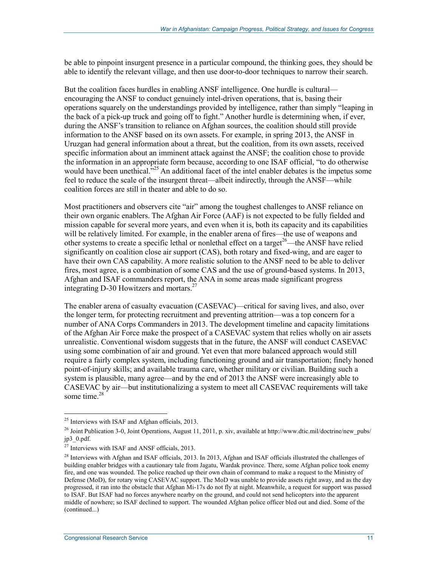be able to pinpoint insurgent presence in a particular compound, the thinking goes, they should be able to identify the relevant village, and then use door-to-door techniques to narrow their search.

But the coalition faces hurdles in enabling ANSF intelligence. One hurdle is cultural encouraging the ANSF to conduct genuinely intel-driven operations, that is, basing their operations squarely on the understandings provided by intelligence, rather than simply "leaping in the back of a pick-up truck and going off to fight." Another hurdle is determining when, if ever, during the ANSF's transition to reliance on Afghan sources, the coalition should still provide information to the ANSF based on its own assets. For example, in spring 2013, the ANSF in Uruzgan had general information about a threat, but the coalition, from its own assets, received specific information about an imminent attack against the ANSF; the coalition chose to provide the information in an appropriate form because, according to one ISAF official, "to do otherwise would have been unethical.<sup>3,25</sup> An additional facet of the intel enabler debates is the impetus some feel to reduce the scale of the insurgent threat—albeit indirectly, through the ANSF—while coalition forces are still in theater and able to do so.

Most practitioners and observers cite "air" among the toughest challenges to ANSF reliance on their own organic enablers. The Afghan Air Force (AAF) is not expected to be fully fielded and mission capable for several more years, and even when it is, both its capacity and its capabilities will be relatively limited. For example, in the enabler arena of fires—the use of weapons and other systems to create a specific lethal or nonlethal effect on a target<sup>26</sup>—the ANSF have relied significantly on coalition close air support (CAS), both rotary and fixed-wing, and are eager to have their own CAS capability. A more realistic solution to the ANSF need to be able to deliver fires, most agree, is a combination of some CAS and the use of ground-based systems. In 2013, Afghan and ISAF commanders report, the ANA in some areas made significant progress integrating D-30 Howitzers and mortars.<sup>27</sup>

The enabler arena of casualty evacuation (CASEVAC)—critical for saving lives, and also, over the longer term, for protecting recruitment and preventing attrition—was a top concern for a number of ANA Corps Commanders in 2013. The development timeline and capacity limitations of the Afghan Air Force make the prospect of a CASEVAC system that relies wholly on air assets unrealistic. Conventional wisdom suggests that in the future, the ANSF will conduct CASEVAC using some combination of air and ground. Yet even that more balanced approach would still require a fairly complex system, including functioning ground and air transportation; finely honed point-of-injury skills; and available trauma care, whether military or civilian. Building such a system is plausible, many agree—and by the end of 2013 the ANSF were increasingly able to CASEVAC by air—but institutionalizing a system to meet all CASEVAC requirements will take some time.<sup>28</sup>

<u>.</u>

 $25$  Interviews with ISAF and Afghan officials, 2013.

<sup>&</sup>lt;sup>26</sup> Joint Publication 3-0, Joint Operations, August 11, 2011, p. xiv, available at http://www.dtic.mil/doctrine/new\_pubs/ jp3\_0.pdf.

<sup>27</sup> Interviews with ISAF and ANSF officials, 2013.

<sup>&</sup>lt;sup>28</sup> Interviews with Afghan and ISAF officials, 2013. In 2013, Afghan and ISAF officials illustrated the challenges of building enabler bridges with a cautionary tale from Jagatu, Wardak province. There, some Afghan police took enemy fire, and one was wounded. The police reached up their own chain of command to make a request to the Ministry of Defense (MoD), for rotary wing CASEVAC support. The MoD was unable to provide assets right away, and as the day progressed, it ran into the obstacle that Afghan Mi-17s do not fly at night. Meanwhile, a request for support was passed to ISAF. But ISAF had no forces anywhere nearby on the ground, and could not send helicopters into the apparent middle of nowhere; so ISAF declined to support. The wounded Afghan police officer bled out and died. Some of the (continued...)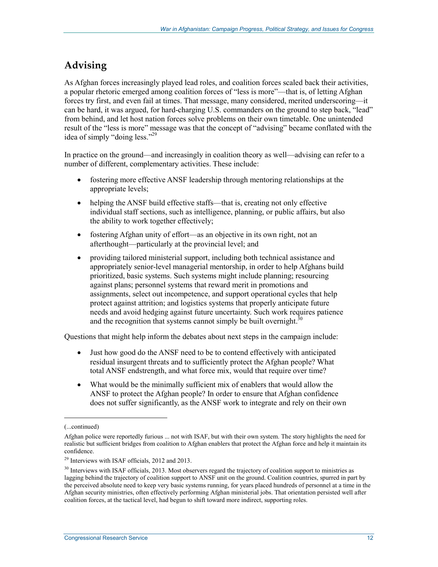### **Advising**

As Afghan forces increasingly played lead roles, and coalition forces scaled back their activities, a popular rhetoric emerged among coalition forces of "less is more"—that is, of letting Afghan forces try first, and even fail at times. That message, many considered, merited underscoring—it can be hard, it was argued, for hard-charging U.S. commanders on the ground to step back, "lead" from behind, and let host nation forces solve problems on their own timetable. One unintended result of the "less is more" message was that the concept of "advising" became conflated with the idea of simply "doing less."<sup>29</sup>

In practice on the ground—and increasingly in coalition theory as well—advising can refer to a number of different, complementary activities. These include:

- fostering more effective ANSF leadership through mentoring relationships at the appropriate levels;
- helping the ANSF build effective staffs—that is, creating not only effective individual staff sections, such as intelligence, planning, or public affairs, but also the ability to work together effectively;
- fostering Afghan unity of effort—as an objective in its own right, not an afterthought—particularly at the provincial level; and
- providing tailored ministerial support, including both technical assistance and appropriately senior-level managerial mentorship, in order to help Afghans build prioritized, basic systems. Such systems might include planning; resourcing against plans; personnel systems that reward merit in promotions and assignments, select out incompetence, and support operational cycles that help protect against attrition; and logistics systems that properly anticipate future needs and avoid hedging against future uncertainty. Such work requires patience and the recognition that systems cannot simply be built overnight. $30$

Questions that might help inform the debates about next steps in the campaign include:

- Just how good do the ANSF need to be to contend effectively with anticipated residual insurgent threats and to sufficiently protect the Afghan people? What total ANSF endstrength, and what force mix, would that require over time?
- What would be the minimally sufficient mix of enablers that would allow the ANSF to protect the Afghan people? In order to ensure that Afghan confidence does not suffer significantly, as the ANSF work to integrate and rely on their own

<sup>(...</sup>continued)

Afghan police were reportedly furious ... not with ISAF, but with their own system. The story highlights the need for realistic but sufficient bridges from coalition to Afghan enablers that protect the Afghan force and help it maintain its confidence.

<sup>29</sup> Interviews with ISAF officials, 2012 and 2013.

 $30$  Interviews with ISAF officials, 2013. Most observers regard the trajectory of coalition support to ministries as lagging behind the trajectory of coalition support to ANSF unit on the ground. Coalition countries, spurred in part by the perceived absolute need to keep very basic systems running, for years placed hundreds of personnel at a time in the Afghan security ministries, often effectively performing Afghan ministerial jobs. That orientation persisted well after coalition forces, at the tactical level, had begun to shift toward more indirect, supporting roles.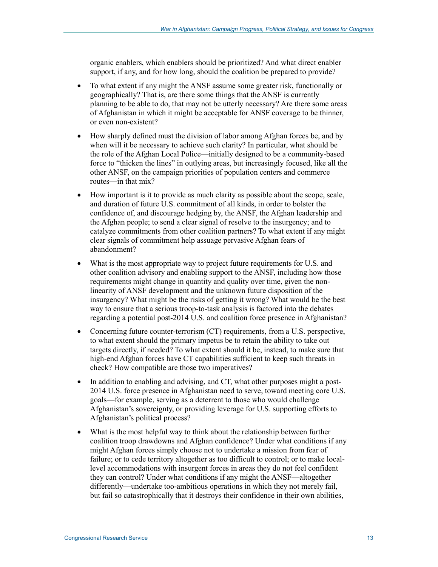organic enablers, which enablers should be prioritized? And what direct enabler support, if any, and for how long, should the coalition be prepared to provide?

- To what extent if any might the ANSF assume some greater risk, functionally or geographically? That is, are there some things that the ANSF is currently planning to be able to do, that may not be utterly necessary? Are there some areas of Afghanistan in which it might be acceptable for ANSF coverage to be thinner, or even non-existent?
- How sharply defined must the division of labor among Afghan forces be, and by when will it be necessary to achieve such clarity? In particular, what should be the role of the Afghan Local Police—initially designed to be a community-based force to "thicken the lines" in outlying areas, but increasingly focused, like all the other ANSF, on the campaign priorities of population centers and commerce routes—in that mix?
- How important is it to provide as much clarity as possible about the scope, scale, and duration of future U.S. commitment of all kinds, in order to bolster the confidence of, and discourage hedging by, the ANSF, the Afghan leadership and the Afghan people; to send a clear signal of resolve to the insurgency; and to catalyze commitments from other coalition partners? To what extent if any might clear signals of commitment help assuage pervasive Afghan fears of abandonment?
- What is the most appropriate way to project future requirements for U.S. and other coalition advisory and enabling support to the ANSF, including how those requirements might change in quantity and quality over time, given the nonlinearity of ANSF development and the unknown future disposition of the insurgency? What might be the risks of getting it wrong? What would be the best way to ensure that a serious troop-to-task analysis is factored into the debates regarding a potential post-2014 U.S. and coalition force presence in Afghanistan?
- Concerning future counter-terrorism (CT) requirements, from a U.S. perspective, to what extent should the primary impetus be to retain the ability to take out targets directly, if needed? To what extent should it be, instead, to make sure that high-end Afghan forces have CT capabilities sufficient to keep such threats in check? How compatible are those two imperatives?
- In addition to enabling and advising, and CT, what other purposes might a post-2014 U.S. force presence in Afghanistan need to serve, toward meeting core U.S. goals—for example, serving as a deterrent to those who would challenge Afghanistan's sovereignty, or providing leverage for U.S. supporting efforts to Afghanistan's political process?
- What is the most helpful way to think about the relationship between further coalition troop drawdowns and Afghan confidence? Under what conditions if any might Afghan forces simply choose not to undertake a mission from fear of failure; or to cede territory altogether as too difficult to control; or to make locallevel accommodations with insurgent forces in areas they do not feel confident they can control? Under what conditions if any might the ANSF—altogether differently—undertake too-ambitious operations in which they not merely fail, but fail so catastrophically that it destroys their confidence in their own abilities,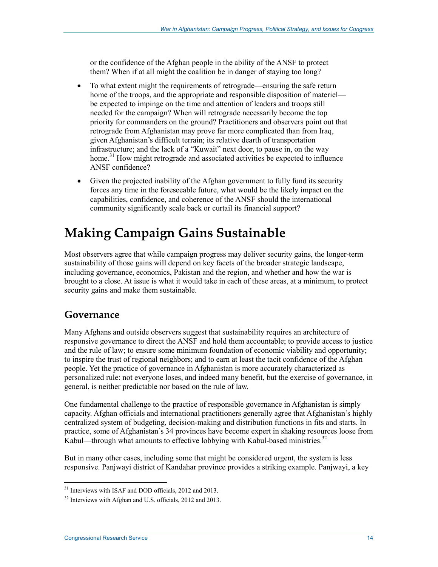or the confidence of the Afghan people in the ability of the ANSF to protect them? When if at all might the coalition be in danger of staying too long?

- To what extent might the requirements of retrograde—ensuring the safe return home of the troops, and the appropriate and responsible disposition of materiel be expected to impinge on the time and attention of leaders and troops still needed for the campaign? When will retrograde necessarily become the top priority for commanders on the ground? Practitioners and observers point out that retrograde from Afghanistan may prove far more complicated than from Iraq, given Afghanistan's difficult terrain; its relative dearth of transportation infrastructure; and the lack of a "Kuwait" next door, to pause in, on the way home.<sup>31</sup> How might retrograde and associated activities be expected to influence ANSF confidence?
- Given the projected inability of the Afghan government to fully fund its security forces any time in the foreseeable future, what would be the likely impact on the capabilities, confidence, and coherence of the ANSF should the international community significantly scale back or curtail its financial support?

# **Making Campaign Gains Sustainable**

Most observers agree that while campaign progress may deliver security gains, the longer-term sustainability of those gains will depend on key facets of the broader strategic landscape, including governance, economics, Pakistan and the region, and whether and how the war is brought to a close. At issue is what it would take in each of these areas, at a minimum, to protect security gains and make them sustainable.

#### **Governance**

Many Afghans and outside observers suggest that sustainability requires an architecture of responsive governance to direct the ANSF and hold them accountable; to provide access to justice and the rule of law; to ensure some minimum foundation of economic viability and opportunity; to inspire the trust of regional neighbors; and to earn at least the tacit confidence of the Afghan people. Yet the practice of governance in Afghanistan is more accurately characterized as personalized rule: not everyone loses, and indeed many benefit, but the exercise of governance, in general, is neither predictable nor based on the rule of law.

One fundamental challenge to the practice of responsible governance in Afghanistan is simply capacity. Afghan officials and international practitioners generally agree that Afghanistan's highly centralized system of budgeting, decision-making and distribution functions in fits and starts. In practice, some of Afghanistan's 34 provinces have become expert in shaking resources loose from Kabul—through what amounts to effective lobbying with Kabul-based ministries.<sup>32</sup>

But in many other cases, including some that might be considered urgent, the system is less responsive. Panjwayi district of Kandahar province provides a striking example. Panjwayi, a key

<sup>&</sup>lt;sup>31</sup> Interviews with ISAF and DOD officials, 2012 and 2013.

<sup>&</sup>lt;sup>32</sup> Interviews with Afghan and U.S. officials, 2012 and 2013.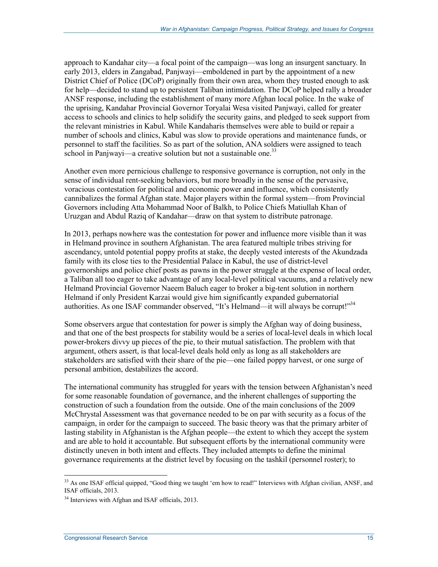approach to Kandahar city—a focal point of the campaign—was long an insurgent sanctuary. In early 2013, elders in Zangabad, Panjwayi—emboldened in part by the appointment of a new District Chief of Police (DCoP) originally from their own area, whom they trusted enough to ask for help—decided to stand up to persistent Taliban intimidation. The DCoP helped rally a broader ANSF response, including the establishment of many more Afghan local police. In the wake of the uprising, Kandahar Provincial Governor Toryalai Wesa visited Panjwayi, called for greater access to schools and clinics to help solidify the security gains, and pledged to seek support from the relevant ministries in Kabul. While Kandaharis themselves were able to build or repair a number of schools and clinics, Kabul was slow to provide operations and maintenance funds, or personnel to staff the facilities. So as part of the solution, ANA soldiers were assigned to teach school in Panjwayi—a creative solution but not a sustainable one.<sup>33</sup>

Another even more pernicious challenge to responsive governance is corruption, not only in the sense of individual rent-seeking behaviors, but more broadly in the sense of the pervasive, voracious contestation for political and economic power and influence, which consistently cannibalizes the formal Afghan state. Major players within the formal system—from Provincial Governors including Atta Mohammad Noor of Balkh, to Police Chiefs Matiullah Khan of Uruzgan and Abdul Raziq of Kandahar—draw on that system to distribute patronage.

In 2013, perhaps nowhere was the contestation for power and influence more visible than it was in Helmand province in southern Afghanistan. The area featured multiple tribes striving for ascendancy, untold potential poppy profits at stake, the deeply vested interests of the Akundzada family with its close ties to the Presidential Palace in Kabul, the use of district-level governorships and police chief posts as pawns in the power struggle at the expense of local order, a Taliban all too eager to take advantage of any local-level political vacuums, and a relatively new Helmand Provincial Governor Naeem Baluch eager to broker a big-tent solution in northern Helmand if only President Karzai would give him significantly expanded gubernatorial authorities. As one ISAF commander observed, "It's Helmand—it will always be corrupt!"<sup>34</sup>

Some observers argue that contestation for power is simply the Afghan way of doing business, and that one of the best prospects for stability would be a series of local-level deals in which local power-brokers divvy up pieces of the pie, to their mutual satisfaction. The problem with that argument, others assert, is that local-level deals hold only as long as all stakeholders are stakeholders are satisfied with their share of the pie—one failed poppy harvest, or one surge of personal ambition, destabilizes the accord.

The international community has struggled for years with the tension between Afghanistan's need for some reasonable foundation of governance, and the inherent challenges of supporting the construction of such a foundation from the outside. One of the main conclusions of the 2009 McChrystal Assessment was that governance needed to be on par with security as a focus of the campaign, in order for the campaign to succeed. The basic theory was that the primary arbiter of lasting stability in Afghanistan is the Afghan people—the extent to which they accept the system and are able to hold it accountable. But subsequent efforts by the international community were distinctly uneven in both intent and effects. They included attempts to define the minimal governance requirements at the district level by focusing on the tashkil (personnel roster); to

<sup>&</sup>lt;sup>33</sup> As one ISAF official quipped, "Good thing we taught 'em how to read!" Interviews with Afghan civilian, ANSF, and ISAF officials, 2013.

<sup>&</sup>lt;sup>34</sup> Interviews with Afghan and ISAF officials, 2013.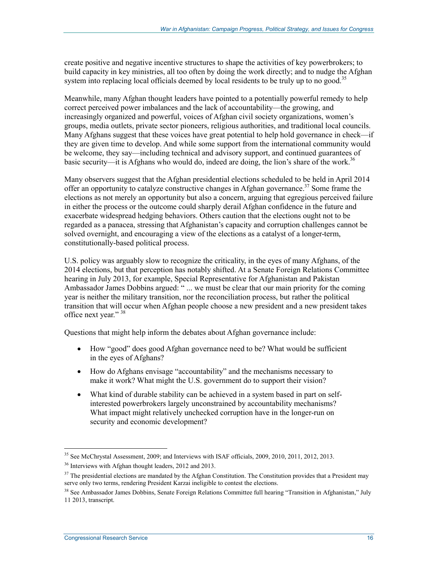create positive and negative incentive structures to shape the activities of key powerbrokers; to build capacity in key ministries, all too often by doing the work directly; and to nudge the Afghan system into replacing local officials deemed by local residents to be truly up to no good.<sup>35</sup>

Meanwhile, many Afghan thought leaders have pointed to a potentially powerful remedy to help correct perceived power imbalances and the lack of accountability—the growing, and increasingly organized and powerful, voices of Afghan civil society organizations, women's groups, media outlets, private sector pioneers, religious authorities, and traditional local councils. Many Afghans suggest that these voices have great potential to help hold governance in check—if they are given time to develop. And while some support from the international community would be welcome, they say—including technical and advisory support, and continued guarantees of basic security—it is Afghans who would do, indeed are doing, the lion's share of the work.<sup>36</sup>

Many observers suggest that the Afghan presidential elections scheduled to be held in April 2014 offer an opportunity to catalyze constructive changes in Afghan governance.<sup>37</sup> Some frame the elections as not merely an opportunity but also a concern, arguing that egregious perceived failure in either the process or the outcome could sharply derail Afghan confidence in the future and exacerbate widespread hedging behaviors. Others caution that the elections ought not to be regarded as a panacea, stressing that Afghanistan's capacity and corruption challenges cannot be solved overnight, and encouraging a view of the elections as a catalyst of a longer-term, constitutionally-based political process.

U.S. policy was arguably slow to recognize the criticality, in the eyes of many Afghans, of the 2014 elections, but that perception has notably shifted. At a Senate Foreign Relations Committee hearing in July 2013, for example, Special Representative for Afghanistan and Pakistan Ambassador James Dobbins argued: " ... we must be clear that our main priority for the coming year is neither the military transition, nor the reconciliation process, but rather the political transition that will occur when Afghan people choose a new president and a new president takes office next year."<sup>38</sup>

Questions that might help inform the debates about Afghan governance include:

- How "good" does good Afghan governance need to be? What would be sufficient in the eyes of Afghans?
- How do Afghans envisage "accountability" and the mechanisms necessary to make it work? What might the U.S. government do to support their vision?
- What kind of durable stability can be achieved in a system based in part on selfinterested powerbrokers largely unconstrained by accountability mechanisms? What impact might relatively unchecked corruption have in the longer-run on security and economic development?

<sup>&</sup>lt;sup>35</sup> See McChrystal Assessment, 2009; and Interviews with ISAF officials, 2009, 2010, 2011, 2012, 2013.

<sup>36</sup> Interviews with Afghan thought leaders, 2012 and 2013.

 $37$  The presidential elections are mandated by the Afghan Constitution. The Constitution provides that a President may serve only two terms, rendering President Karzai ineligible to contest the elections.

<sup>&</sup>lt;sup>38</sup> See Ambassador James Dobbins, Senate Foreign Relations Committee full hearing "Transition in Afghanistan," July 11 2013, transcript.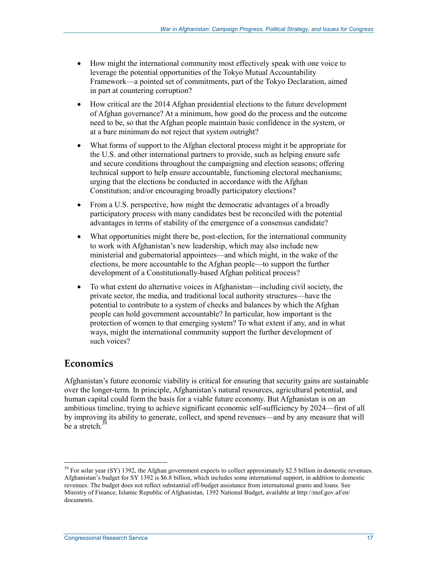- How might the international community most effectively speak with one voice to leverage the potential opportunities of the Tokyo Mutual Accountability Framework—a pointed set of commitments, part of the Tokyo Declaration, aimed in part at countering corruption?
- How critical are the 2014 Afghan presidential elections to the future development of Afghan governance? At a minimum, how good do the process and the outcome need to be, so that the Afghan people maintain basic confidence in the system, or at a bare minimum do not reject that system outright?
- What forms of support to the Afghan electoral process might it be appropriate for the U.S. and other international partners to provide, such as helping ensure safe and secure conditions throughout the campaigning and election seasons; offering technical support to help ensure accountable, functioning electoral mechanisms; urging that the elections be conducted in accordance with the Afghan Constitution; and/or encouraging broadly participatory elections?
- From a U.S. perspective, how might the democratic advantages of a broadly participatory process with many candidates best be reconciled with the potential advantages in terms of stability of the emergence of a consensus candidate?
- What opportunities might there be, post-election, for the international community to work with Afghanistan's new leadership, which may also include new ministerial and gubernatorial appointees—and which might, in the wake of the elections, be more accountable to the Afghan people—to support the further development of a Constitutionally-based Afghan political process?
- To what extent do alternative voices in Afghanistan—including civil society, the private sector, the media, and traditional local authority structures—have the potential to contribute to a system of checks and balances by which the Afghan people can hold government accountable? In particular, how important is the protection of women to that emerging system? To what extent if any, and in what ways, might the international community support the further development of such voices?

#### **Economics**

1

Afghanistan's future economic viability is critical for ensuring that security gains are sustainable over the longer-term. In principle, Afghanistan's natural resources, agricultural potential, and human capital could form the basis for a viable future economy. But Afghanistan is on an ambitious timeline, trying to achieve significant economic self-sufficiency by 2024—first of all by improving its ability to generate, collect, and spend revenues—and by any measure that will be a stretch. $39$ 

<sup>&</sup>lt;sup>39</sup> For solar year (SY) 1392, the Afghan government expects to collect approximately \$2.5 billion in domestic revenues. Afghanistan's budget for SY 1392 is \$6.8 billion, which includes some international support, in addition to domestic revenues. The budget does not reflect substantial off-budget assistance from international grants and loans. See Ministry of Finance, Islamic Republic of Afghanistan, 1392 National Budget, available at http://mof.gov.af/en/ documents.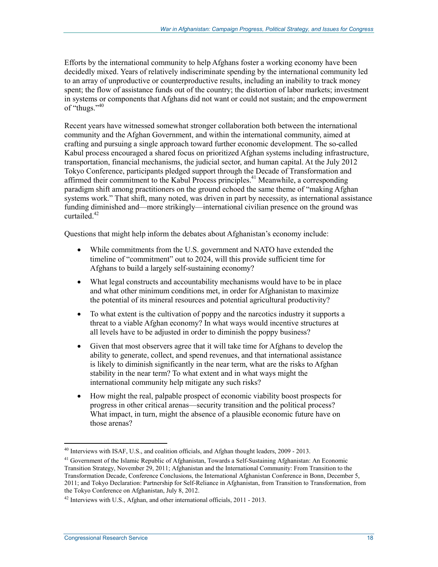Efforts by the international community to help Afghans foster a working economy have been decidedly mixed. Years of relatively indiscriminate spending by the international community led to an array of unproductive or counterproductive results, including an inability to track money spent; the flow of assistance funds out of the country; the distortion of labor markets; investment in systems or components that Afghans did not want or could not sustain; and the empowerment of "thugs."<sup>40</sup>

Recent years have witnessed somewhat stronger collaboration both between the international community and the Afghan Government, and within the international community, aimed at crafting and pursuing a single approach toward further economic development. The so-called Kabul process encouraged a shared focus on prioritized Afghan systems including infrastructure, transportation, financial mechanisms, the judicial sector, and human capital. At the July 2012 Tokyo Conference, participants pledged support through the Decade of Transformation and affirmed their commitment to the Kabul Process principles.<sup>41</sup> Meanwhile, a corresponding paradigm shift among practitioners on the ground echoed the same theme of "making Afghan systems work." That shift, many noted, was driven in part by necessity, as international assistance funding diminished and—more strikingly—international civilian presence on the ground was curtailed. $42$ 

Questions that might help inform the debates about Afghanistan's economy include:

- While commitments from the U.S. government and NATO have extended the timeline of "commitment" out to 2024, will this provide sufficient time for Afghans to build a largely self-sustaining economy?
- What legal constructs and accountability mechanisms would have to be in place and what other minimum conditions met, in order for Afghanistan to maximize the potential of its mineral resources and potential agricultural productivity?
- To what extent is the cultivation of poppy and the narcotics industry it supports a threat to a viable Afghan economy? In what ways would incentive structures at all levels have to be adjusted in order to diminish the poppy business?
- Given that most observers agree that it will take time for Afghans to develop the ability to generate, collect, and spend revenues, and that international assistance is likely to diminish significantly in the near term, what are the risks to Afghan stability in the near term? To what extent and in what ways might the international community help mitigate any such risks?
- How might the real, palpable prospect of economic viability boost prospects for progress in other critical arenas—security transition and the political process? What impact, in turn, might the absence of a plausible economic future have on those arenas?

<sup>&</sup>lt;sup>40</sup> Interviews with ISAF, U.S., and coalition officials, and Afghan thought leaders, 2009 - 2013.

<sup>&</sup>lt;sup>41</sup> Government of the Islamic Republic of Afghanistan, Towards a Self-Sustaining Afghanistan: An Economic Transition Strategy, November 29, 2011; Afghanistan and the International Community: From Transition to the Transformation Decade, Conference Conclusions, the International Afghanistan Conference in Bonn, December 5, 2011; and Tokyo Declaration: Partnership for Self-Reliance in Afghanistan, from Transition to Transformation, from the Tokyo Conference on Afghanistan, July 8, 2012.

 $42$  Interviews with U.S., Afghan, and other international officials, 2011 - 2013.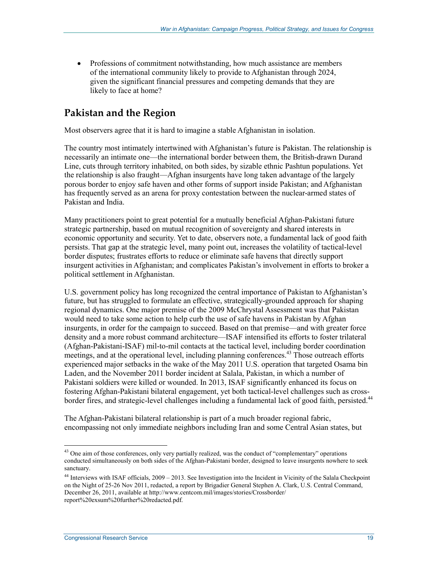• Professions of commitment notwithstanding, how much assistance are members of the international community likely to provide to Afghanistan through 2024, given the significant financial pressures and competing demands that they are likely to face at home?

### **Pakistan and the Region**

Most observers agree that it is hard to imagine a stable Afghanistan in isolation.

The country most intimately intertwined with Afghanistan's future is Pakistan. The relationship is necessarily an intimate one—the international border between them, the British-drawn Durand Line, cuts through territory inhabited, on both sides, by sizable ethnic Pashtun populations. Yet the relationship is also fraught—Afghan insurgents have long taken advantage of the largely porous border to enjoy safe haven and other forms of support inside Pakistan; and Afghanistan has frequently served as an arena for proxy contestation between the nuclear-armed states of Pakistan and India.

Many practitioners point to great potential for a mutually beneficial Afghan-Pakistani future strategic partnership, based on mutual recognition of sovereignty and shared interests in economic opportunity and security. Yet to date, observers note, a fundamental lack of good faith persists. That gap at the strategic level, many point out, increases the volatility of tactical-level border disputes; frustrates efforts to reduce or eliminate safe havens that directly support insurgent activities in Afghanistan; and complicates Pakistan's involvement in efforts to broker a political settlement in Afghanistan.

U.S. government policy has long recognized the central importance of Pakistan to Afghanistan's future, but has struggled to formulate an effective, strategically-grounded approach for shaping regional dynamics. One major premise of the 2009 McChrystal Assessment was that Pakistan would need to take some action to help curb the use of safe havens in Pakistan by Afghan insurgents, in order for the campaign to succeed. Based on that premise—and with greater force density and a more robust command architecture—ISAF intensified its efforts to foster trilateral (Afghan-Pakistani-ISAF) mil-to-mil contacts at the tactical level, including border coordination meetings, and at the operational level, including planning conferences.<sup>43</sup> Those outreach efforts experienced major setbacks in the wake of the May 2011 U.S. operation that targeted Osama bin Laden, and the November 2011 border incident at Salala, Pakistan, in which a number of Pakistani soldiers were killed or wounded. In 2013, ISAF significantly enhanced its focus on fostering Afghan-Pakistani bilateral engagement, yet both tactical-level challenges such as crossborder fires, and strategic-level challenges including a fundamental lack of good faith, persisted.<sup>44</sup>

The Afghan-Pakistani bilateral relationship is part of a much broader regional fabric, encompassing not only immediate neighbors including Iran and some Central Asian states, but

 $43$  One aim of those conferences, only very partially realized, was the conduct of "complementary" operations conducted simultaneously on both sides of the Afghan-Pakistani border, designed to leave insurgents nowhere to seek sanctuary.

<sup>44</sup> Interviews with ISAF officials, 2009 – 2013. See Investigation into the Incident in Vicinity of the Salala Checkpoint on the Night of 25-26 Nov 2011, redacted, a report by Brigadier General Stephen A. Clark, U.S. Central Command, December 26, 2011, available at http://www.centcom.mil/images/stories/Crossborder/ report%20exsum%20further%20redacted.pdf.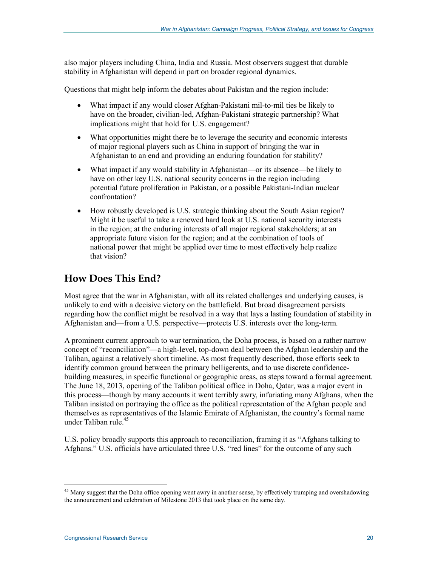also major players including China, India and Russia. Most observers suggest that durable stability in Afghanistan will depend in part on broader regional dynamics.

Questions that might help inform the debates about Pakistan and the region include:

- What impact if any would closer Afghan-Pakistani mil-to-mil ties be likely to have on the broader, civilian-led, Afghan-Pakistani strategic partnership? What implications might that hold for U.S. engagement?
- What opportunities might there be to leverage the security and economic interests of major regional players such as China in support of bringing the war in Afghanistan to an end and providing an enduring foundation for stability?
- What impact if any would stability in Afghanistan—or its absence—be likely to have on other key U.S. national security concerns in the region including potential future proliferation in Pakistan, or a possible Pakistani-Indian nuclear confrontation?
- How robustly developed is U.S. strategic thinking about the South Asian region? Might it be useful to take a renewed hard look at U.S. national security interests in the region; at the enduring interests of all major regional stakeholders; at an appropriate future vision for the region; and at the combination of tools of national power that might be applied over time to most effectively help realize that vision?

#### **How Does This End?**

Most agree that the war in Afghanistan, with all its related challenges and underlying causes, is unlikely to end with a decisive victory on the battlefield. But broad disagreement persists regarding how the conflict might be resolved in a way that lays a lasting foundation of stability in Afghanistan and—from a U.S. perspective—protects U.S. interests over the long-term.

A prominent current approach to war termination, the Doha process, is based on a rather narrow concept of "reconciliation"—a high-level, top-down deal between the Afghan leadership and the Taliban, against a relatively short timeline. As most frequently described, those efforts seek to identify common ground between the primary belligerents, and to use discrete confidencebuilding measures, in specific functional or geographic areas, as steps toward a formal agreement. The June 18, 2013, opening of the Taliban political office in Doha, Qatar, was a major event in this process—though by many accounts it went terribly awry, infuriating many Afghans, when the Taliban insisted on portraying the office as the political representation of the Afghan people and themselves as representatives of the Islamic Emirate of Afghanistan, the country's formal name under Taliban rule.<sup>45</sup>

U.S. policy broadly supports this approach to reconciliation, framing it as "Afghans talking to Afghans." U.S. officials have articulated three U.S. "red lines" for the outcome of any such

<sup>&</sup>lt;sup>45</sup> Many suggest that the Doha office opening went awry in another sense, by effectively trumping and overshadowing the announcement and celebration of Milestone 2013 that took place on the same day.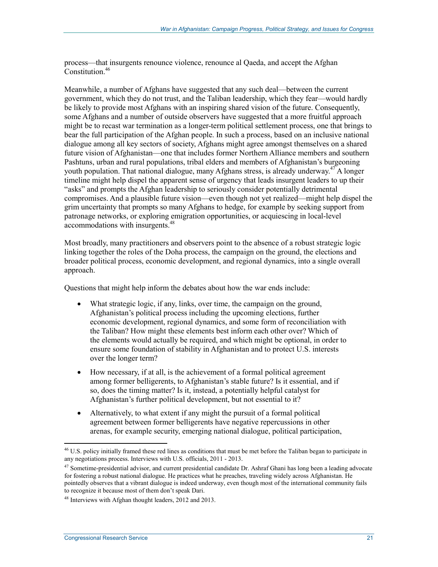process—that insurgents renounce violence, renounce al Qaeda, and accept the Afghan Constitution.<sup>46</sup>

Meanwhile, a number of Afghans have suggested that any such deal—between the current government, which they do not trust, and the Taliban leadership, which they fear—would hardly be likely to provide most Afghans with an inspiring shared vision of the future. Consequently, some Afghans and a number of outside observers have suggested that a more fruitful approach might be to recast war termination as a longer-term political settlement process, one that brings to bear the full participation of the Afghan people. In such a process, based on an inclusive national dialogue among all key sectors of society, Afghans might agree amongst themselves on a shared future vision of Afghanistan—one that includes former Northern Alliance members and southern Pashtuns, urban and rural populations, tribal elders and members of Afghanistan's burgeoning youth population. That national dialogue, many Afghans stress, is already underway.<sup>47</sup>A longer timeline might help dispel the apparent sense of urgency that leads insurgent leaders to up their "asks" and prompts the Afghan leadership to seriously consider potentially detrimental compromises. And a plausible future vision—even though not yet realized—might help dispel the grim uncertainty that prompts so many Afghans to hedge, for example by seeking support from patronage networks, or exploring emigration opportunities, or acquiescing in local-level accommodations with insurgents.<sup>48</sup>

Most broadly, many practitioners and observers point to the absence of a robust strategic logic linking together the roles of the Doha process, the campaign on the ground, the elections and broader political process, economic development, and regional dynamics, into a single overall approach.

Questions that might help inform the debates about how the war ends include:

- What strategic logic, if any, links, over time, the campaign on the ground, Afghanistan's political process including the upcoming elections, further economic development, regional dynamics, and some form of reconciliation with the Taliban? How might these elements best inform each other over? Which of the elements would actually be required, and which might be optional, in order to ensure some foundation of stability in Afghanistan and to protect U.S. interests over the longer term?
- How necessary, if at all, is the achievement of a formal political agreement among former belligerents, to Afghanistan's stable future? Is it essential, and if so, does the timing matter? Is it, instead, a potentially helpful catalyst for Afghanistan's further political development, but not essential to it?
- Alternatively, to what extent if any might the pursuit of a formal political agreement between former belligerents have negative repercussions in other arenas, for example security, emerging national dialogue, political participation,

<sup>&</sup>lt;sup>46</sup> U.S. policy initially framed these red lines as conditions that must be met before the Taliban began to participate in any negotiations process. Interviews with U.S. officials, 2011 - 2013.

<sup>&</sup>lt;sup>47</sup> Sometime-presidential advisor, and current presidential candidate Dr. Ashraf Ghani has long been a leading advocate for fostering a robust national dialogue. He practices what he preaches, traveling widely across Afghanistan. He pointedly observes that a vibrant dialogue is indeed underway, even though most of the international community fails to recognize it because most of them don't speak Dari.

<sup>48</sup> Interviews with Afghan thought leaders, 2012 and 2013.